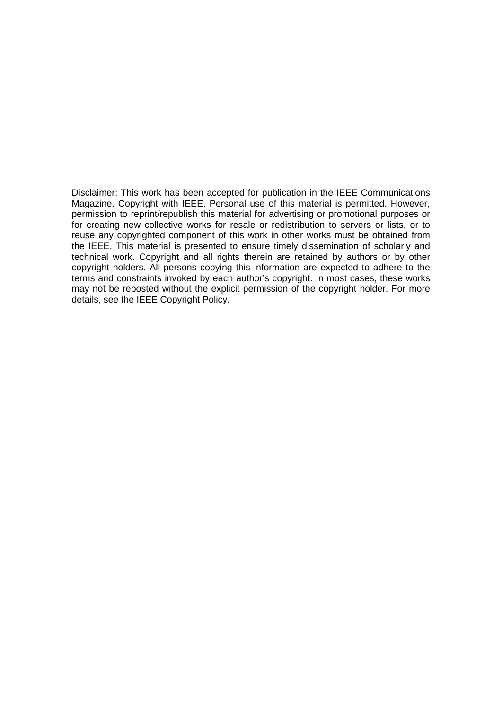Disclaimer: This work has been accepted for publication in the IEEE Communications Magazine. Copyright with IEEE. Personal use of this material is permitted. However, permission to reprint/republish this material for advertising or promotional purposes or for creating new collective works for resale or redistribution to servers or lists, or to reuse any copyrighted component of this work in other works must be obtained from the IEEE. This material is presented to ensure timely dissemination of scholarly and technical work. Copyright and all rights therein are retained by authors or by other copyright holders. All persons copying this information are expected to adhere to the terms and constraints invoked by each author's copyright. In most cases, these works may not be reposted without the explicit permission of the copyright holder. For more details, see the IEEE Copyright Policy.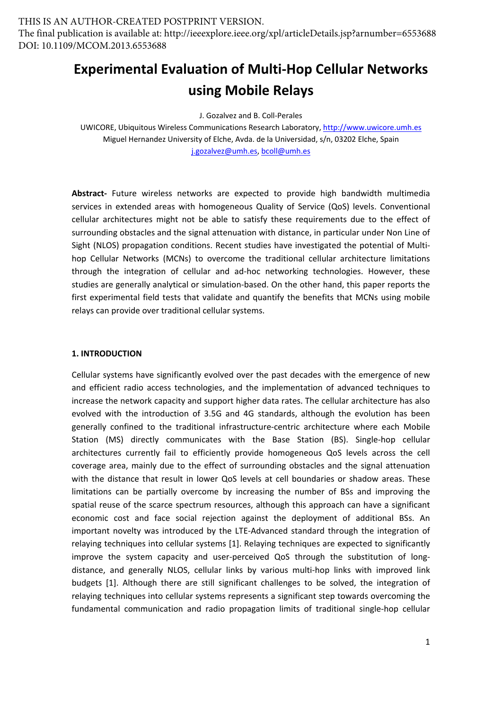# **Experimental Evaluation of Multi‐Hop Cellular Networks using Mobile Relays**

J. Gozalvez and B. Coll‐Perales

UWICORE, Ubiquitous Wireless Communications Research Laboratory, http://www.uwicore.umh.es Miguel Hernandez University of Elche, Avda. de la Universidad, s/n, 03202 Elche, Spain j.gozalvez@umh.es, bcoll@umh.es

**Abstract‐** Future wireless networks are expected to provide high bandwidth multimedia services in extended areas with homogeneous Quality of Service (QoS) levels. Conventional cellular architectures might not be able to satisfy these requirements due to the effect of surrounding obstacles and the signal attenuation with distance, in particular under Non Line of Sight (NLOS) propagation conditions. Recent studies have investigated the potential of Multi‐ hop Cellular Networks (MCNs) to overcome the traditional cellular architecture limitations through the integration of cellular and ad‐hoc networking technologies. However, these studies are generally analytical or simulation‐based. On the other hand, this paper reports the first experimental field tests that validate and quantify the benefits that MCNs using mobile relays can provide over traditional cellular systems.

## **1. INTRODUCTION**

Cellular systems have significantly evolved over the past decades with the emergence of new and efficient radio access technologies, and the implementation of advanced techniques to increase the network capacity and support higher data rates. The cellular architecture has also evolved with the introduction of 3.5G and 4G standards, although the evolution has been generally confined to the traditional infrastructure‐centric architecture where each Mobile Station (MS) directly communicates with the Base Station (BS). Single-hop cellular architectures currently fail to efficiently provide homogeneous QoS levels across the cell coverage area, mainly due to the effect of surrounding obstacles and the signal attenuation with the distance that result in lower QoS levels at cell boundaries or shadow areas. These limitations can be partially overcome by increasing the number of BSs and improving the spatial reuse of the scarce spectrum resources, although this approach can have a significant economic cost and face social rejection against the deployment of additional BSs. An important novelty was introduced by the LTE‐Advanced standard through the integration of relaying techniques into cellular systems [1]. Relaying techniques are expected to significantly improve the system capacity and user-perceived QoS through the substitution of longdistance, and generally NLOS, cellular links by various multi‐hop links with improved link budgets [1]. Although there are still significant challenges to be solved, the integration of relaying techniques into cellular systems represents a significant step towards overcoming the fundamental communication and radio propagation limits of traditional single‐hop cellular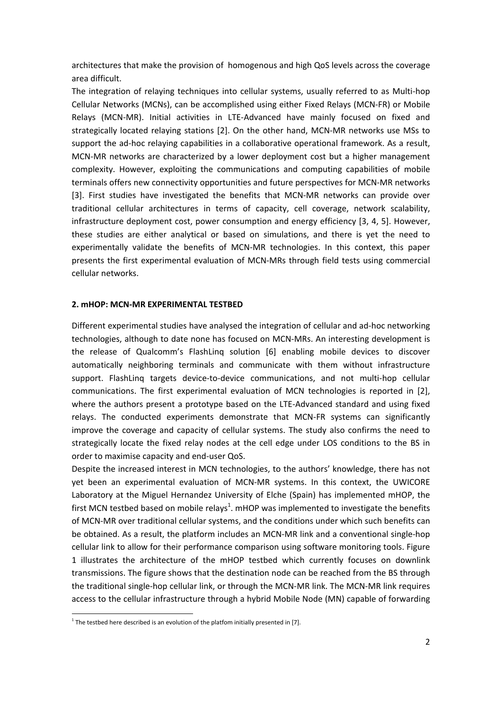architectures that make the provision of homogenous and high QoS levels across the coverage area difficult.

The integration of relaying techniques into cellular systems, usually referred to as Multi-hop Cellular Networks (MCNs), can be accomplished using either Fixed Relays (MCN‐FR) or Mobile Relays (MCN‐MR). Initial activities in LTE‐Advanced have mainly focused on fixed and strategically located relaying stations [2]. On the other hand, MCN‐MR networks use MSs to support the ad‐hoc relaying capabilities in a collaborative operational framework. As a result, MCN‐MR networks are characterized by a lower deployment cost but a higher management complexity. However, exploiting the communications and computing capabilities of mobile terminals offers new connectivity opportunities and future perspectives for MCN‐MR networks [3]. First studies have investigated the benefits that MCN-MR networks can provide over traditional cellular architectures in terms of capacity, cell coverage, network scalability, infrastructure deployment cost, power consumption and energy efficiency [3, 4, 5]. However, these studies are either analytical or based on simulations, and there is yet the need to experimentally validate the benefits of MCN‐MR technologies. In this context, this paper presents the first experimental evaluation of MCN‐MRs through field tests using commercial cellular networks.

#### **2. mHOP: MCN‐MR EXPERIMENTAL TESTBED**

Different experimental studies have analysed the integration of cellular and ad‐hoc networking technologies, although to date none has focused on MCN‐MRs. An interesting development is the release of Qualcomm's FlashLinq solution [6] enabling mobile devices to discover automatically neighboring terminals and communicate with them without infrastructure support. FlashLinq targets device-to-device communications, and not multi-hop cellular communications. The first experimental evaluation of MCN technologies is reported in [2], where the authors present a prototype based on the LTE-Advanced standard and using fixed relays. The conducted experiments demonstrate that MCN‐FR systems can significantly improve the coverage and capacity of cellular systems. The study also confirms the need to strategically locate the fixed relay nodes at the cell edge under LOS conditions to the BS in order to maximise capacity and end‐user QoS.

Despite the increased interest in MCN technologies, to the authors' knowledge, there has not yet been an experimental evaluation of MCN-MR systems. In this context, the UWICORE Laboratory at the Miguel Hernandez University of Elche (Spain) has implemented mHOP, the first MCN testbed based on mobile relays<sup>1</sup>. mHOP was implemented to investigate the benefits of MCN‐MR over traditional cellular systems, and the conditions under which such benefits can be obtained. As a result, the platform includes an MCN-MR link and a conventional single-hop cellular link to allow for their performance comparison using software monitoring tools. Figure 1 illustrates the architecture of the mHOP testbed which currently focuses on downlink transmissions. The figure shows that the destination node can be reached from the BS through the traditional single‐hop cellular link, or through the MCN‐MR link. The MCN‐MR link requires access to the cellular infrastructure through a hybrid Mobile Node (MN) capable of forwarding

 $<sup>1</sup>$  The testbed here described is an evolution of the platfom initially presented in [7].</sup>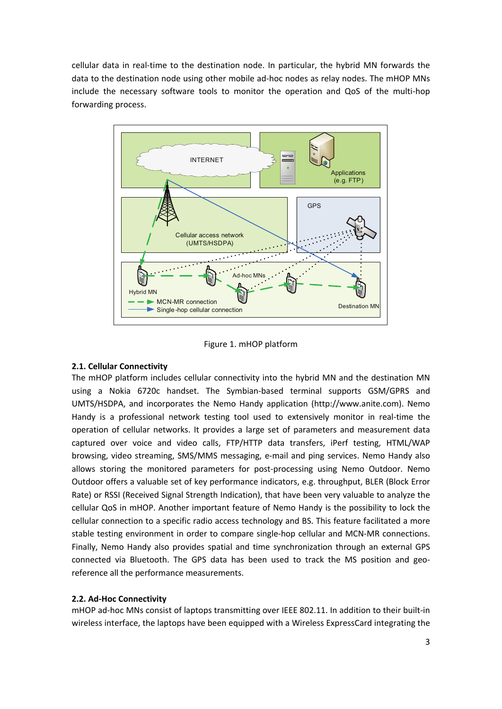cellular data in real‐time to the destination node. In particular, the hybrid MN forwards the data to the destination node using other mobile ad-hoc nodes as relay nodes. The mHOP MNs include the necessary software tools to monitor the operation and QoS of the multi-hop forwarding process.



Figure 1. mHOP platform

# **2.1. Cellular Connectivity**

The mHOP platform includes cellular connectivity into the hybrid MN and the destination MN using a Nokia 6720c handset. The Symbian‐based terminal supports GSM/GPRS and UMTS/HSDPA, and incorporates the Nemo Handy application (http://www.anite.com). Nemo Handy is a professional network testing tool used to extensively monitor in real‐time the operation of cellular networks. It provides a large set of parameters and measurement data captured over voice and video calls, FTP/HTTP data transfers, iPerf testing, HTML/WAP browsing, video streaming, SMS/MMS messaging, e‐mail and ping services. Nemo Handy also allows storing the monitored parameters for post‐processing using Nemo Outdoor. Nemo Outdoor offers a valuable set of key performance indicators, e.g. throughput, BLER (Block Error Rate) or RSSI (Received Signal Strength Indication), that have been very valuable to analyze the cellular QoS in mHOP. Another important feature of Nemo Handy is the possibility to lock the cellular connection to a specific radio access technology and BS. This feature facilitated a more stable testing environment in order to compare single‐hop cellular and MCN‐MR connections. Finally, Nemo Handy also provides spatial and time synchronization through an external GPS connected via Bluetooth. The GPS data has been used to track the MS position and geo‐ reference all the performance measurements.

# **2.2. Ad‐Hoc Connectivity**

mHOP ad‐hoc MNs consist of laptops transmitting over IEEE 802.11. In addition to their built‐in wireless interface, the laptops have been equipped with a Wireless ExpressCard integrating the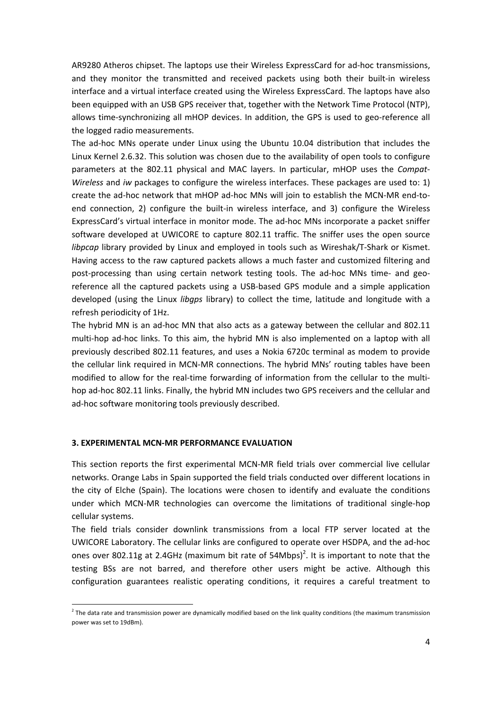AR9280 Atheros chipset. The laptops use their Wireless ExpressCard for ad‐hoc transmissions, and they monitor the transmitted and received packets using both their built-in wireless interface and a virtual interface created using the Wireless ExpressCard. The laptops have also been equipped with an USB GPS receiver that, together with the Network Time Protocol (NTP), allows time-synchronizing all mHOP devices. In addition, the GPS is used to geo-reference all the logged radio measurements.

The ad-hoc MNs operate under Linux using the Ubuntu 10.04 distribution that includes the Linux Kernel 2.6.32. This solution was chosen due to the availability of open tools to configure parameters at the 802.11 physical and MAC layers. In particular, mHOP uses the *Compat‐ Wireless* and *iw* packages to configure the wireless interfaces. These packages are used to: 1) create the ad‐hoc network that mHOP ad‐hoc MNs will join to establish the MCN‐MR end‐to‐ end connection, 2) configure the built-in wireless interface, and 3) configure the Wireless ExpressCard's virtual interface in monitor mode. The ad‐hoc MNs incorporate a packet sniffer software developed at UWICORE to capture 802.11 traffic. The sniffer uses the open source *libpcap* library provided by Linux and employed in tools such as Wireshak/T‐Shark or Kismet. Having access to the raw captured packets allows a much faster and customized filtering and post-processing than using certain network testing tools. The ad-hoc MNs time- and georeference all the captured packets using a USB‐based GPS module and a simple application developed (using the Linux *libgps* library) to collect the time, latitude and longitude with a refresh periodicity of 1Hz.

The hybrid MN is an ad-hoc MN that also acts as a gateway between the cellular and 802.11 multi-hop ad-hoc links. To this aim, the hybrid MN is also implemented on a laptop with all previously described 802.11 features, and uses a Nokia 6720c terminal as modem to provide the cellular link required in MCN‐MR connections. The hybrid MNs' routing tables have been modified to allow for the real-time forwarding of information from the cellular to the multihop ad-hoc 802.11 links. Finally, the hybrid MN includes two GPS receivers and the cellular and ad-hoc software monitoring tools previously described.

#### **3. EXPERIMENTAL MCN‐MR PERFORMANCE EVALUATION**

This section reports the first experimental MCN‐MR field trials over commercial live cellular networks. Orange Labs in Spain supported the field trials conducted over different locations in the city of Elche (Spain). The locations were chosen to identify and evaluate the conditions under which MCN‐MR technologies can overcome the limitations of traditional single‐hop cellular systems.

The field trials consider downlink transmissions from a local FTP server located at the UWICORE Laboratory. The cellular links are configured to operate over HSDPA, and the ad‐hoc ones over 802.11g at 2.4GHz (maximum bit rate of 54Mbps)<sup>2</sup>. It is important to note that the testing BSs are not barred, and therefore other users might be active. Although this configuration guarantees realistic operating conditions, it requires a careful treatment to

 $2$  The data rate and transmission power are dynamically modified based on the link quality conditions (the maximum transmission power was set to 19dBm).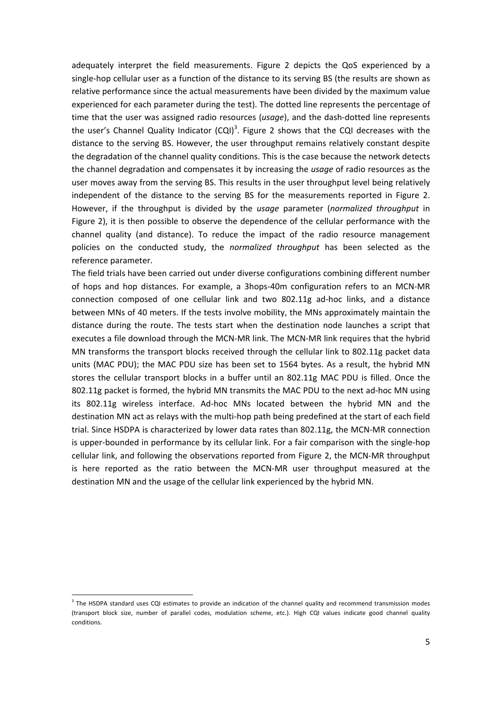adequately interpret the field measurements. Figure 2 depicts the QoS experienced by a single-hop cellular user as a function of the distance to its serving BS (the results are shown as relative performance since the actual measurements have been divided by the maximum value experienced for each parameter during the test). The dotted line represents the percentage of time that the user was assigned radio resources (*usage*), and the dash-dotted line represents the user's Channel Quality Indicator  $(CQI)^3$ . Figure 2 shows that the CQI decreases with the distance to the serving BS. However, the user throughput remains relatively constant despite the degradation of the channel quality conditions. This is the case because the network detects the channel degradation and compensates it by increasing the *usage* of radio resources as the user moves away from the serving BS. This results in the user throughput level being relatively independent of the distance to the serving BS for the measurements reported in Figure 2. However, if the throughput is divided by the *usage* parameter (*normalized throughput* in Figure 2), it is then possible to observe the dependence of the cellular performance with the channel quality (and distance). To reduce the impact of the radio resource management policies on the conducted study, the *normalized throughput* has been selected as the reference parameter.

The field trials have been carried out under diverse configurations combining different number of hops and hop distances. For example, a 3hops‐40m configuration refers to an MCN‐MR connection composed of one cellular link and two 802.11g ad-hoc links, and a distance between MNs of 40 meters. If the tests involve mobility, the MNs approximately maintain the distance during the route. The tests start when the destination node launches a script that executes a file download through the MCN‐MR link. The MCN‐MR link requires that the hybrid MN transforms the transport blocks received through the cellular link to 802.11g packet data units (MAC PDU); the MAC PDU size has been set to 1564 bytes. As a result, the hybrid MN stores the cellular transport blocks in a buffer until an 802.11g MAC PDU is filled. Once the 802.11g packet is formed, the hybrid MN transmits the MAC PDU to the next ad-hoc MN using its 802.11g wireless interface. Ad‐hoc MNs located between the hybrid MN and the destination MN act as relays with the multi‐hop path being predefined at the start of each field trial. Since HSDPA is characterized by lower data rates than 802.11g, the MCN‐MR connection is upper-bounded in performance by its cellular link. For a fair comparison with the single-hop cellular link, and following the observations reported from Figure 2, the MCN‐MR throughput is here reported as the ratio between the MCN‐MR user throughput measured at the destination MN and the usage of the cellular link experienced by the hybrid MN.

<sup>&</sup>lt;sup>3</sup> The HSDPA standard uses CQI estimates to provide an indication of the channel quality and recommend transmission modes (transport block size, number of parallel codes, modulation scheme, etc.). High CQI values indicate good channel quality conditions.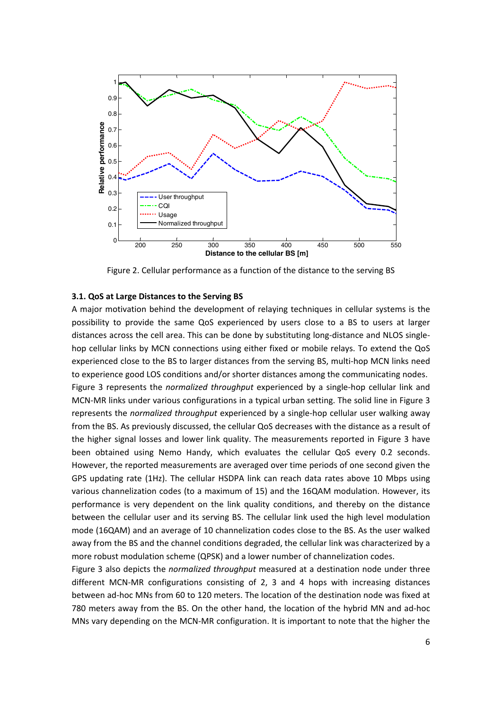

Figure 2. Cellular performance as a function of the distance to the serving BS

#### **3.1. QoS at Large Distances to the Serving BS**

A major motivation behind the development of relaying techniques in cellular systems is the possibility to provide the same QoS experienced by users close to a BS to users at larger distances across the cell area. This can be done by substituting long‐distance and NLOS single‐ hop cellular links by MCN connections using either fixed or mobile relays. To extend the QoS experienced close to the BS to larger distances from the serving BS, multi-hop MCN links need to experience good LOS conditions and/or shorter distances among the communicating nodes. Figure 3 represents the *normalized throughput* experienced by a single‐hop cellular link and MCN‐MR links under various configurations in a typical urban setting. The solid line in Figure 3 represents the *normalized throughput* experienced by a single‐hop cellular user walking away from the BS. As previously discussed, the cellular QoS decreases with the distance as a result of the higher signal losses and lower link quality. The measurements reported in Figure 3 have been obtained using Nemo Handy, which evaluates the cellular QoS every 0.2 seconds. However, the reported measurements are averaged over time periods of one second given the GPS updating rate (1Hz). The cellular HSDPA link can reach data rates above 10 Mbps using various channelization codes (to a maximum of 15) and the 16QAM modulation. However, its performance is very dependent on the link quality conditions, and thereby on the distance between the cellular user and its serving BS. The cellular link used the high level modulation mode (16QAM) and an average of 10 channelization codes close to the BS. As the user walked away from the BS and the channel conditions degraded, the cellular link was characterized by a more robust modulation scheme (QPSK) and a lower number of channelization codes.

Figure 3 also depicts the *normalized throughput* measured at a destination node under three different MCN‐MR configurations consisting of 2, 3 and 4 hops with increasing distances between ad‐hoc MNs from 60 to 120 meters. The location of the destination node was fixed at 780 meters away from the BS. On the other hand, the location of the hybrid MN and ad-hoc MNs vary depending on the MCN‐MR configuration. It is important to note that the higher the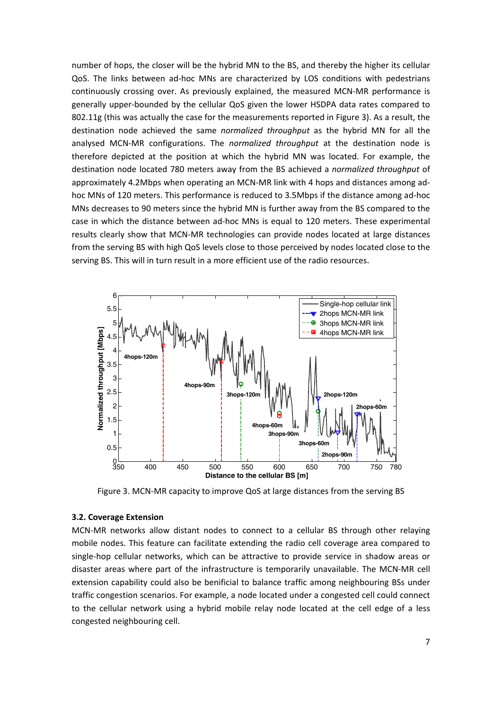number of hops, the closer will be the hybrid MN to the BS, and thereby the higher its cellular QoS. The links between ad‐hoc MNs are characterized by LOS conditions with pedestrians continuously crossing over. As previously explained, the measured MCN-MR performance is generally upper‐bounded by the cellular QoS given the lower HSDPA data rates compared to 802.11g (this was actually the case for the measurements reported in Figure 3). As a result, the destination node achieved the same *normalized throughput* as the hybrid MN for all the analysed MCN‐MR configurations. The *normalized throughput* at the destination node is therefore depicted at the position at which the hybrid MN was located. For example, the destination node located 780 meters away from the BS achieved a *normalized throughput* of approximately 4.2Mbps when operating an MCN-MR link with 4 hops and distances among adhoc MNs of 120 meters. This performance is reduced to 3.5Mbps if the distance among ad-hoc MNs decreases to 90 meters since the hybrid MN is further away from the BS compared to the case in which the distance between ad‐hoc MNs is equal to 120 meters. These experimental results clearly show that MCN‐MR technologies can provide nodes located at large distances from the serving BS with high QoS levels close to those perceived by nodes located close to the serving BS. This will in turn result in a more efficient use of the radio resources.



Figure 3. MCN-MR capacity to improve QoS at large distances from the serving BS

#### **3.2. Coverage Extension**

MCN‐MR networks allow distant nodes to connect to a cellular BS through other relaying mobile nodes. This feature can facilitate extending the radio cell coverage area compared to single‐hop cellular networks, which can be attractive to provide service in shadow areas or disaster areas where part of the infrastructure is temporarily unavailable. The MCN‐MR cell extension capability could also be benificial to balance traffic among neighbouring BSs under traffic congestion scenarios. For example, a node located under a congested cell could connect to the cellular network using a hybrid mobile relay node located at the cell edge of a less congested neighbouring cell.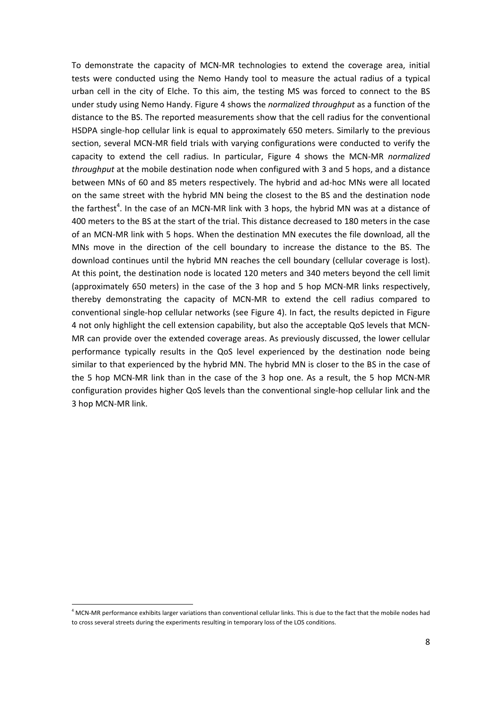To demonstrate the capacity of MCN‐MR technologies to extend the coverage area, initial tests were conducted using the Nemo Handy tool to measure the actual radius of a typical urban cell in the city of Elche. To this aim, the testing MS was forced to connect to the BS under study using Nemo Handy. Figure 4 shows the *normalized throughput* as a function of the distance to the BS. The reported measurements show that the cell radius for the conventional HSDPA single‐hop cellular link is equal to approximately 650 meters. Similarly to the previous section, several MCN‐MR field trials with varying configurations were conducted to verify the capacity to extend the cell radius. In particular, Figure 4 shows the MCN‐MR *normalized throughput* at the mobile destination node when configured with 3 and 5 hops, and a distance between MNs of 60 and 85 meters respectively. The hybrid and ad‐hoc MNs were all located on the same street with the hybrid MN being the closest to the BS and the destination node the farthest<sup>4</sup>. In the case of an MCN-MR link with 3 hops, the hybrid MN was at a distance of 400 meters to the BS at the start of the trial. This distance decreased to 180 meters in the case of an MCN‐MR link with 5 hops. When the destination MN executes the file download, all the MNs move in the direction of the cell boundary to increase the distance to the BS. The download continues until the hybrid MN reaches the cell boundary (cellular coverage is lost). At this point, the destination node is located 120 meters and 340 meters beyond the cell limit (approximately 650 meters) in the case of the 3 hop and 5 hop MCN‐MR links respectively, thereby demonstrating the capacity of MCN‐MR to extend the cell radius compared to conventional single‐hop cellular networks (see Figure 4). In fact, the results depicted in Figure 4 not only highlight the cell extension capability, but also the acceptable QoS levels that MCN‐ MR can provide over the extended coverage areas. As previously discussed, the lower cellular performance typically results in the QoS level experienced by the destination node being similar to that experienced by the hybrid MN. The hybrid MN is closer to the BS in the case of the 5 hop MCN‐MR link than in the case of the 3 hop one. As a result, the 5 hop MCN‐MR configuration provides higher QoS levels than the conventional single‐hop cellular link and the 3 hop MCN‐MR link.

<sup>4</sup> MCN‐MR performance exhibits larger variations than conventional cellular links. This is due to the fact that the mobile nodes had to cross several streets during the experiments resulting in temporary loss of the LOS conditions.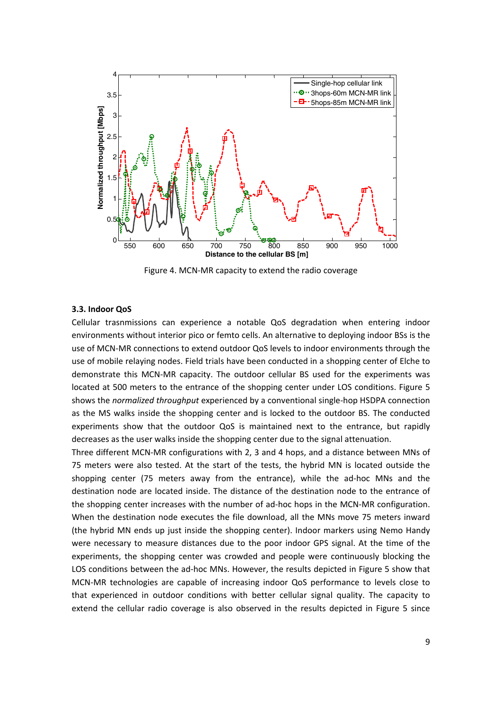

Figure 4. MCN‐MR capacity to extend the radio coverage

#### **3.3. Indoor QoS**

Cellular trasnmissions can experience a notable QoS degradation when entering indoor environments without interior pico or femto cells. An alternative to deploying indoor BSs is the use of MCN‐MR connections to extend outdoor QoS levels to indoor environments through the use of mobile relaying nodes. Field trials have been conducted in a shopping center of Elche to demonstrate this MCN‐MR capacity. The outdoor cellular BS used for the experiments was located at 500 meters to the entrance of the shopping center under LOS conditions. Figure 5 shows the *normalized throughput* experienced by a conventional single‐hop HSDPA connection as the MS walks inside the shopping center and is locked to the outdoor BS. The conducted experiments show that the outdoor QoS is maintained next to the entrance, but rapidly decreases as the user walks inside the shopping center due to the signal attenuation.

Three different MCN‐MR configurations with 2, 3 and 4 hops, and a distance between MNs of 75 meters were also tested. At the start of the tests, the hybrid MN is located outside the shopping center (75 meters away from the entrance), while the ad-hoc MNs and the destination node are located inside. The distance of the destination node to the entrance of the shopping center increases with the number of ad‐hoc hops in the MCN‐MR configuration. When the destination node executes the file download, all the MNs move 75 meters inward (the hybrid MN ends up just inside the shopping center). Indoor markers using Nemo Handy were necessary to measure distances due to the poor indoor GPS signal. At the time of the experiments, the shopping center was crowded and people were continuously blocking the LOS conditions between the ad‐hoc MNs. However, the results depicted in Figure 5 show that MCN‐MR technologies are capable of increasing indoor QoS performance to levels close to that experienced in outdoor conditions with better cellular signal quality. The capacity to extend the cellular radio coverage is also observed in the results depicted in Figure 5 since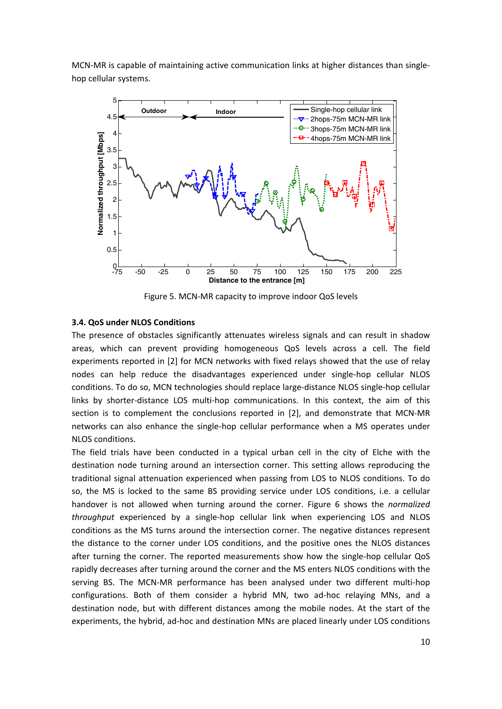MCN-MR is capable of maintaining active communication links at higher distances than singlehop cellular systems.



Figure 5. MCN‐MR capacity to improve indoor QoS levels

#### **3.4. QoS under NLOS Conditions**

The presence of obstacles significantly attenuates wireless signals and can result in shadow areas, which can prevent providing homogeneous QoS levels across a cell. The field experiments reported in [2] for MCN networks with fixed relays showed that the use of relay nodes can help reduce the disadvantages experienced under single‐hop cellular NLOS conditions. To do so, MCN technologies should replace large‐distance NLOS single‐hop cellular links by shorter-distance LOS multi-hop communications. In this context, the aim of this section is to complement the conclusions reported in [2], and demonstrate that MCN-MR networks can also enhance the single‐hop cellular performance when a MS operates under NLOS conditions.

The field trials have been conducted in a typical urban cell in the city of Elche with the destination node turning around an intersection corner. This setting allows reproducing the traditional signal attenuation experienced when passing from LOS to NLOS conditions. To do so, the MS is locked to the same BS providing service under LOS conditions, i.e. a cellular handover is not allowed when turning around the corner. Figure 6 shows the *normalized throughput* experienced by a single‐hop cellular link when experiencing LOS and NLOS conditions as the MS turns around the intersection corner. The negative distances represent the distance to the corner under LOS conditions, and the positive ones the NLOS distances after turning the corner. The reported measurements show how the single‐hop cellular QoS rapidly decreases after turning around the corner and the MS enters NLOS conditions with the serving BS. The MCN-MR performance has been analysed under two different multi-hop configurations. Both of them consider a hybrid MN, two ad‐hoc relaying MNs, and a destination node, but with different distances among the mobile nodes. At the start of the experiments, the hybrid, ad-hoc and destination MNs are placed linearly under LOS conditions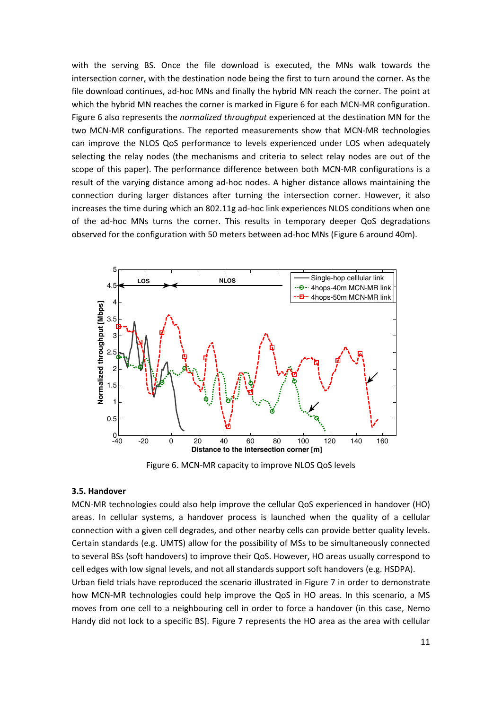with the serving BS. Once the file download is executed, the MNs walk towards the intersection corner, with the destination node being the first to turn around the corner. As the file download continues, ad-hoc MNs and finally the hybrid MN reach the corner. The point at which the hybrid MN reaches the corner is marked in Figure 6 for each MCN-MR configuration. Figure 6 also represents the *normalized throughput* experienced at the destination MN for the two MCN‐MR configurations. The reported measurements show that MCN‐MR technologies can improve the NLOS QoS performance to levels experienced under LOS when adequately selecting the relay nodes (the mechanisms and criteria to select relay nodes are out of the scope of this paper). The performance difference between both MCN-MR configurations is a result of the varying distance among ad‐hoc nodes. A higher distance allows maintaining the connection during larger distances after turning the intersection corner. However, it also increases the time during which an 802.11g ad-hoc link experiences NLOS conditions when one of the ad‐hoc MNs turns the corner. This results in temporary deeper QoS degradations observed for the configuration with 50 meters between ad‐hoc MNs (Figure 6 around 40m).



Figure 6. MCN‐MR capacity to improve NLOS QoS levels

#### **3.5. Handover**

MCN‐MR technologies could also help improve the cellular QoS experienced in handover (HO) areas. In cellular systems, a handover process is launched when the quality of a cellular connection with a given cell degrades, and other nearby cells can provide better quality levels. Certain standards (e.g. UMTS) allow for the possibility of MSs to be simultaneously connected to several BSs (soft handovers) to improve their QoS. However, HO areas usually correspond to cell edges with low signal levels, and not all standards support soft handovers (e.g. HSDPA).

Urban field trials have reproduced the scenario illustrated in Figure 7 in order to demonstrate how MCN-MR technologies could help improve the QoS in HO areas. In this scenario, a MS moves from one cell to a neighbouring cell in order to force a handover (in this case, Nemo Handy did not lock to a specific BS). Figure 7 represents the HO area as the area with cellular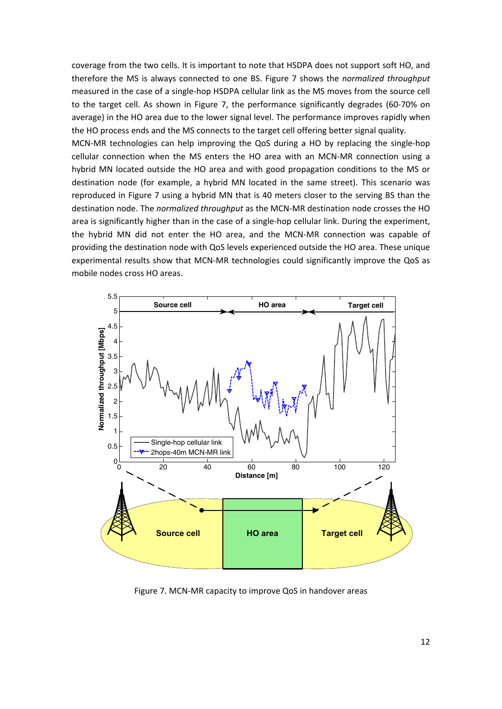coverage from the two cells. It is important to note that HSDPA does not support soft HO, and therefore the MS is always connected to one BS. Figure 7 shows the *normalized throughput* measured in the case of a single‐hop HSDPA cellular link as the MS moves from the source cell to the target cell. As shown in Figure 7, the performance significantly degrades (60‐70% on average) in the HO area due to the lower signal level. The performance improves rapidly when the HO process ends and the MS connects to the target cell offering better signal quality.

MCN‐MR technologies can help improving the QoS during a HO by replacing the single‐hop cellular connection when the MS enters the HO area with an MCN‐MR connection using a hybrid MN located outside the HO area and with good propagation conditions to the MS or destination node (for example, a hybrid MN located in the same street). This scenario was reproduced in Figure 7 using a hybrid MN that is 40 meters closer to the serving BS than the destination node. The *normalized throughput* as the MCN‐MR destination node crosses the HO area is significantly higher than in the case of a single-hop cellular link. During the experiment, the hybrid MN did not enter the HO area, and the MCN‐MR connection was capable of providing the destination node with QoS levels experienced outside the HO area. These unique experimental results show that MCN‐MR technologies could significantly improve the QoS as mobile nodes cross HO areas.



Figure 7. MCN‐MR capacity to improve QoS in handover areas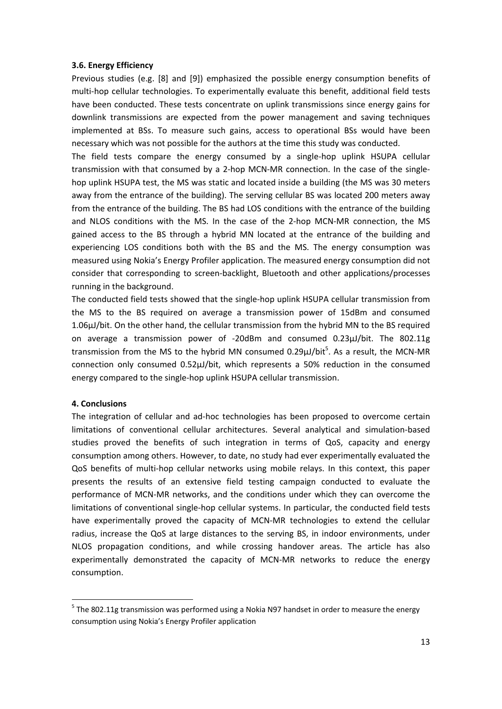## **3.6. Energy Efficiency**

Previous studies (e.g. [8] and [9]) emphasized the possible energy consumption benefits of multi‐hop cellular technologies. To experimentally evaluate this benefit, additional field tests have been conducted. These tests concentrate on uplink transmissions since energy gains for downlink transmissions are expected from the power management and saving techniques implemented at BSs. To measure such gains, access to operational BSs would have been necessary which was not possible for the authors at the time this study was conducted.

The field tests compare the energy consumed by a single-hop uplink HSUPA cellular transmission with that consumed by a 2‐hop MCN‐MR connection. In the case of the single‐ hop uplink HSUPA test, the MS was static and located inside a building (the MS was 30 meters away from the entrance of the building). The serving cellular BS was located 200 meters away from the entrance of the building. The BS had LOS conditions with the entrance of the building and NLOS conditions with the MS. In the case of the 2-hop MCN-MR connection, the MS gained access to the BS through a hybrid MN located at the entrance of the building and experiencing LOS conditions both with the BS and the MS. The energy consumption was measured using Nokia's Energy Profiler application. The measured energy consumption did not consider that corresponding to screen‐backlight, Bluetooth and other applications/processes running in the background.

The conducted field tests showed that the single‐hop uplink HSUPA cellular transmission from the MS to the BS required on average a transmission power of 15dBm and consumed 1.06µJ/bit. On the other hand, the cellular transmission from the hybrid MN to the BS required on average a transmission power of ‐20dBm and consumed 0.23µJ/bit. The 802.11g transmission from the MS to the hybrid MN consumed 0.29µJ/bit<sup>5</sup>. As a result, the MCN-MR connection only consumed 0.52µJ/bit, which represents a 50% reduction in the consumed energy compared to the single‐hop uplink HSUPA cellular transmission.

## **4. Conclusions**

The integration of cellular and ad-hoc technologies has been proposed to overcome certain limitations of conventional cellular architectures. Several analytical and simulation‐based studies proved the benefits of such integration in terms of QoS, capacity and energy consumption among others. However, to date, no study had ever experimentally evaluated the QoS benefits of multi‐hop cellular networks using mobile relays. In this context, this paper presents the results of an extensive field testing campaign conducted to evaluate the performance of MCN‐MR networks, and the conditions under which they can overcome the limitations of conventional single‐hop cellular systems. In particular, the conducted field tests have experimentally proved the capacity of MCN‐MR technologies to extend the cellular radius, increase the QoS at large distances to the serving BS, in indoor environments, under NLOS propagation conditions, and while crossing handover areas. The article has also experimentally demonstrated the capacity of MCN‐MR networks to reduce the energy consumption.

<sup>&</sup>lt;sup>5</sup> The 802.11g transmission was performed using a Nokia N97 handset in order to measure the energy consumption using Nokia's Energy Profiler application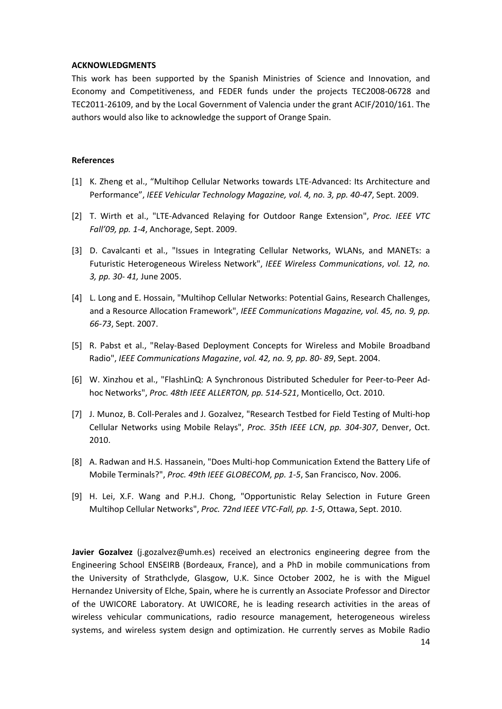#### **ACKNOWLEDGMENTS**

This work has been supported by the Spanish Ministries of Science and Innovation, and Economy and Competitiveness, and FEDER funds under the projects TEC2008‐06728 and TEC2011‐26109, and by the Local Government of Valencia under the grant ACIF/2010/161. The authors would also like to acknowledge the support of Orange Spain.

## **References**

- [1] K. Zheng et al., "Multihop Cellular Networks towards LTE-Advanced: Its Architecture and Performance", *IEEE Vehicular Technology Magazine, vol. 4, no. 3, pp. 40‐47*, Sept. 2009.
- [2] T. Wirth et al., "LTE‐Advanced Relaying for Outdoor Range Extension", *Proc. IEEE VTC Fall'09, pp. 1‐4*, Anchorage, Sept. 2009.
- [3] D. Cavalcanti et al., "Issues in Integrating Cellular Networks, WLANs, and MANETs: a Futuristic Heterogeneous Wireless Network", *IEEE Wireless Communications*, *vol. 12, no. 3, pp. 30‐ 41,* June 2005.
- [4] L. Long and E. Hossain, "Multihop Cellular Networks: Potential Gains, Research Challenges, and a Resource Allocation Framework", *IEEE Communications Magazine, vol. 45, no. 9, pp. 66‐73*, Sept. 2007.
- [5] R. Pabst et al., "Relay‐Based Deployment Concepts for Wireless and Mobile Broadband Radio", *IEEE Communications Magazine*, *vol. 42, no. 9, pp. 80‐ 89*, Sept. 2004.
- [6] W. Xinzhou et al., "FlashLinQ: A Synchronous Distributed Scheduler for Peer‐to‐Peer Ad‐ hoc Networks", *Proc. 48th IEEE ALLERTON, pp. 514‐521*, Monticello, Oct. 2010.
- [7] J. Munoz, B. Coll-Perales and J. Gozalvez, "Research Testbed for Field Testing of Multi-hop Cellular Networks using Mobile Relays", *Proc. 35th IEEE LCN*, *pp. 304‐307*, Denver, Oct. 2010.
- [8] A. Radwan and H.S. Hassanein, "Does Multi-hop Communication Extend the Battery Life of Mobile Terminals?", *Proc. 49th IEEE GLOBECOM, pp. 1‐5*, San Francisco, Nov. 2006.
- [9] H. Lei, X.F. Wang and P.H.J. Chong, "Opportunistic Relay Selection in Future Green Multihop Cellular Networks", *Proc. 72nd IEEE VTC‐Fall, pp. 1‐5*, Ottawa, Sept. 2010.

**Javier Gozalvez** (j.gozalvez@umh.es) received an electronics engineering degree from the Engineering School ENSEIRB (Bordeaux, France), and a PhD in mobile communications from the University of Strathclyde, Glasgow, U.K. Since October 2002, he is with the Miguel Hernandez University of Elche, Spain, where he is currently an Associate Professor and Director of the UWICORE Laboratory. At UWICORE, he is leading research activities in the areas of wireless vehicular communications, radio resource management, heterogeneous wireless systems, and wireless system design and optimization. He currently serves as Mobile Radio